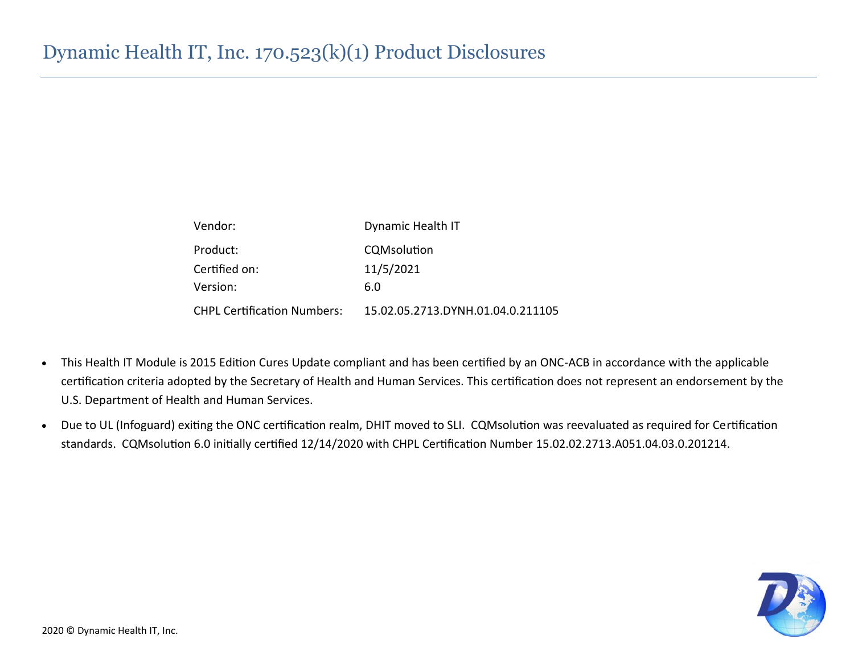| Vendor:                            | Dynamic Health IT                 |  |  |  |  |  |  |
|------------------------------------|-----------------------------------|--|--|--|--|--|--|
| Product:                           | CQMsolution                       |  |  |  |  |  |  |
| Certified on:                      | 11/5/2021                         |  |  |  |  |  |  |
| Version:                           | 6.0                               |  |  |  |  |  |  |
| <b>CHPL Certification Numbers:</b> | 15.02.05.2713.DYNH.01.04.0.211105 |  |  |  |  |  |  |

- This Health IT Module is 2015 Edition Cures Update compliant and has been certified by an ONC-ACB in accordance with the applicable certification criteria adopted by the Secretary of Health and Human Services. This certification does not represent an endorsement by the U.S. Department of Health and Human Services.
- Due to UL (Infoguard) exiting the ONC certification realm, DHIT moved to SLI. CQMsolution was reevaluated as required for Certification standards. CQMsolution 6.0 initially certified 12/14/2020 with CHPL Certification Number 15.02.02.2713.A051.04.03.0.201214.

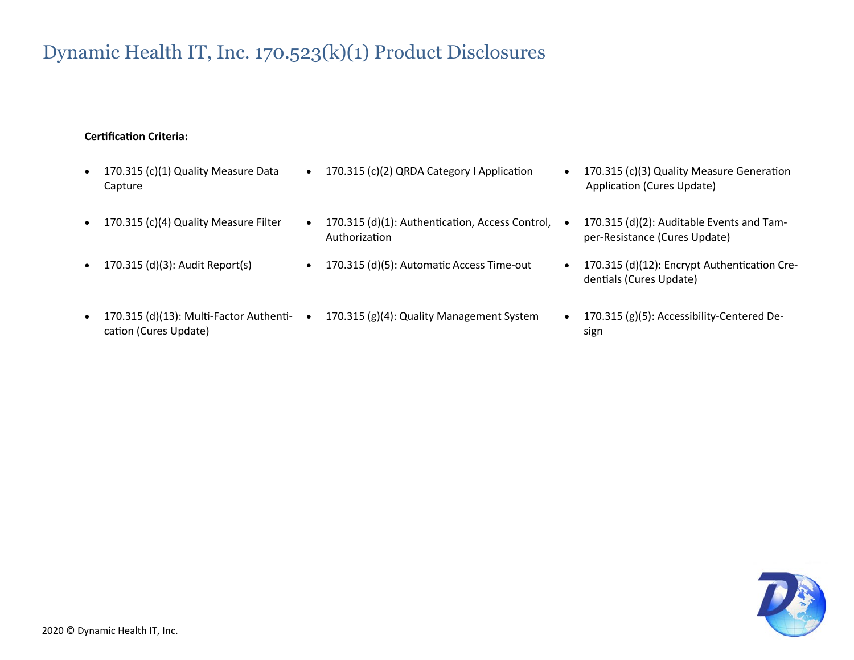#### **Certification Criteria:**

- 170.315 (c)(1) Quality Measure Data Capture
- 
- 
- cation (Cures Update)
- 170.315 (c)(2) QRDA Category I Application 170.315 (c)(3) Quality Measure Generation
- 170.315 (c)(4) Quality Measure Filter 170.315 (d)(1): Authentication, Access Control, Authorization
	-
- 170.315 (d)(13): Multi-Factor Authenti- 170.315 (g)(4): Quality Management System 170.315 (g)(5): Accessibility-Centered De-
- Application (Cures Update)
- 170.315 (d)(2): Auditable Events and Tamper-Resistance (Cures Update)
- 170.315 (d)(3): Audit Report(s) 170.315 (d)(5): Automatic Access Time-out 170.315 (d)(12): Encrypt Authentication Credentials (Cures Update)
	- sign

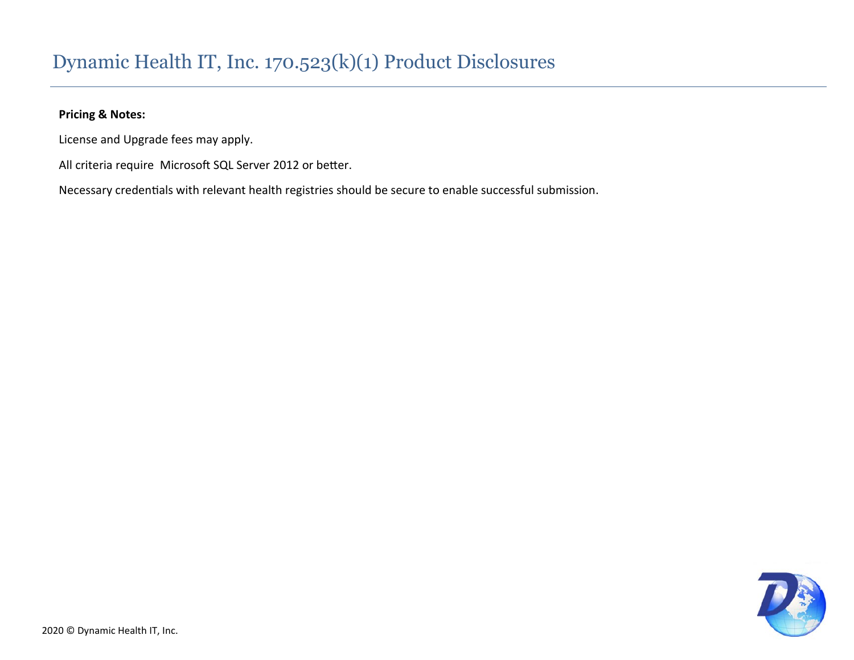#### **Pricing & Notes:**

License and Upgrade fees may apply.

All criteria require Microsoft SQL Server 2012 or better.

Necessary credentials with relevant health registries should be secure to enable successful submission.

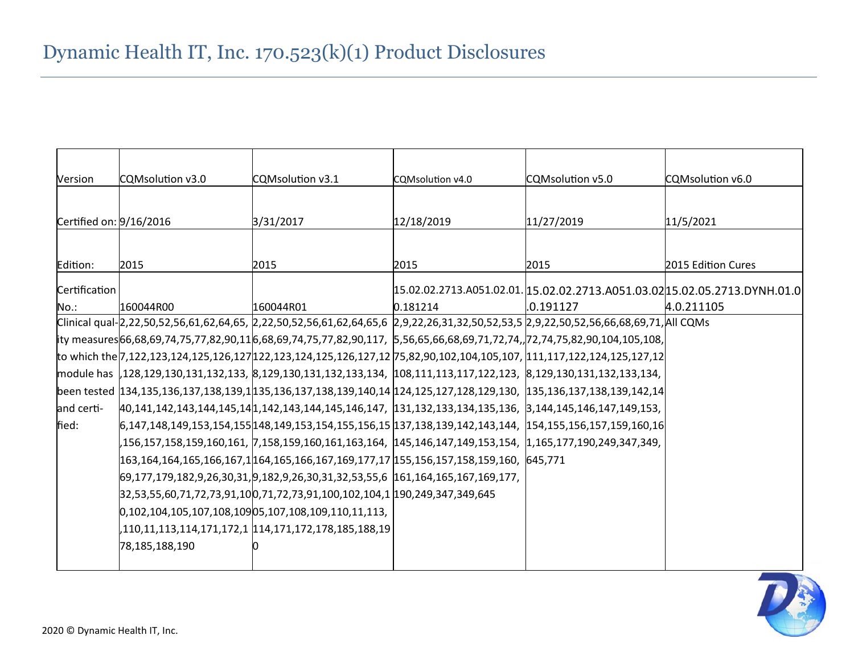| Version                 | CQMsolution v3.0 | CQMsolution v3.1                                                                                                                     | CQMsolution v4.0 | CQMsolution v5.0 | CQMsolution v6.0                                                           |
|-------------------------|------------------|--------------------------------------------------------------------------------------------------------------------------------------|------------------|------------------|----------------------------------------------------------------------------|
|                         |                  |                                                                                                                                      |                  |                  |                                                                            |
| Certified on: 9/16/2016 |                  | 3/31/2017                                                                                                                            | 12/18/2019       | 11/27/2019       | 11/5/2021                                                                  |
|                         |                  |                                                                                                                                      |                  |                  |                                                                            |
| Edition:                | 2015             | 2015                                                                                                                                 | 2015             | 2015             | 2015 Edition Cures                                                         |
| Certification           |                  |                                                                                                                                      |                  |                  | 15.02.02.2713.A051.02.01. 15.02.02.2713.A051.03.02 15.02.05.2713.DYNH.01.0 |
| No.:                    | 160044R00        | 160044R01                                                                                                                            | 0.181214         | 10.191127        | 4.0.211105                                                                 |
|                         |                  | Clinical qual-2,22,50,52,56,61,62,64,65, 2,22,50,52,56,61,62,64,65,6 2,9,22,26,31,32,50,52,53,5 2,9,22,50,52,56,66,68,69,71,All CQMs |                  |                  |                                                                            |
|                         |                  | ity measures 66,68,69,74,75,77,82,90,11 6,68,69,74,75,77,82,90,117, 5,56,65,66,68,69,71,72,74,,72,74,75,82,90,104,105,108,           |                  |                  |                                                                            |
|                         |                  | to which the 7,122,123,124,125,126,127 122,123,124,125,126,127,12 75,82,90,102,104,105,107, 111,117,122,124,125,127,12               |                  |                  |                                                                            |
|                         |                  | module has  ,128,129,130,131,132,133, 8,129,130,131,132,133,134, 108,111,113,117,122,123, 8,129,130,131,132,133,134,                 |                  |                  |                                                                            |
|                         |                  | been tested 134,135,136,137,138,139,1135,136,137,138,139,140,14 124,125,127,128,129,130, 135,136,137,138,139,142,14                  |                  |                  |                                                                            |
| and certi-              |                  | 40,141,142,143,144,145,141,142,143,144,145,146,147, 131,132,133,134,135,136, 3,144,145,146,147,149,153,                              |                  |                  |                                                                            |
| fied:                   |                  | $6,147,148,149,153,154,155 148,149,153,154,155,156,15 137,138,139,142,143,144, 154,155,156,157,159,160,16$                           |                  |                  |                                                                            |
|                         |                  | ,156,157,158,159,160,161, 7,158,159,160,161,163,164,  145,146,147,149,153,154,  1,165,177,190,249,347,349,                           |                  |                  |                                                                            |
|                         |                  | 163,164,164,165,166,167,1 164,165,166,167,169,177,17 155,156,157,158,159,160, 645,771                                                |                  |                  |                                                                            |
|                         |                  | 69,177,179,182,9,26,30,31,9,182,9,26,30,31,32,53,55,6  161,164,165,167,169,177,                                                      |                  |                  |                                                                            |
|                         |                  | 32,53,55,60,71,72,73,91,10 0,71,72,73,91,100,102,104,1  190,249,347,349,645                                                          |                  |                  |                                                                            |
|                         |                  | $[0, 102, 104, 105, 107, 108, 109]$ 05, 107, 108, 109, 110, 11, 113,                                                                 |                  |                  |                                                                            |
|                         |                  |                                                                                                                                      |                  |                  |                                                                            |
|                         | 78,185,188,190   |                                                                                                                                      |                  |                  |                                                                            |
|                         |                  |                                                                                                                                      |                  |                  |                                                                            |

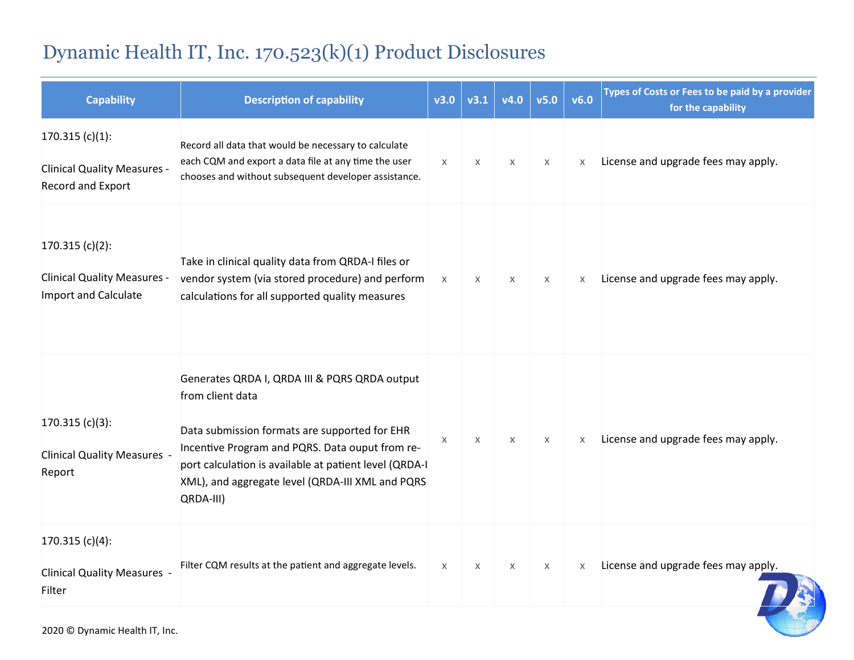| <b>Capability</b>                                                                      | <b>Description of capability</b>                                                                                                                                                                                                                                                                 | v3.0         | v3.1                      | v4.0 | v5.0 | v6.0 | Types of Costs or Fees to be paid by a provider<br>for the capability |
|----------------------------------------------------------------------------------------|--------------------------------------------------------------------------------------------------------------------------------------------------------------------------------------------------------------------------------------------------------------------------------------------------|--------------|---------------------------|------|------|------|-----------------------------------------------------------------------|
| $170.315(c)(1)$ :<br><b>Clinical Quality Measures -</b><br>Record and Export           | Record all data that would be necessary to calculate<br>each CQM and export a data file at any time the user<br>chooses and without subsequent developer assistance.                                                                                                                             | $\mathsf{X}$ | $\times$                  | X    | X    | X    | License and upgrade fees may apply.                                   |
| $170.315(c)(2)$ :<br><b>Clinical Quality Measures -</b><br><b>Import and Calculate</b> | Take in clinical quality data from QRDA-I files or<br>vendor system (via stored procedure) and perform<br>calculations for all supported quality measures                                                                                                                                        | $\times$     | X                         | X    | X    | X    | License and upgrade fees may apply.                                   |
| $170.315(c)(3)$ :<br><b>Clinical Quality Measures -</b><br>Report                      | Generates QRDA I, QRDA III & PQRS QRDA output<br>from client data<br>Data submission formats are supported for EHR<br>Incentive Program and PQRS. Data ouput from re-<br>port calculation is available at patient level (QRDA-I<br>XML), and aggregate level (QRDA-III XML and PQRS<br>QRDA-III) | X            | X                         | X    | X    | X    | License and upgrade fees may apply.                                   |
| 170.315 $(c)(4)$ :<br><b>Clinical Quality Measures -</b><br>Filter                     | Filter CQM results at the patient and aggregate levels.                                                                                                                                                                                                                                          | $\chi$       | $\boldsymbol{\mathsf{x}}$ | X    | X    | X    | License and upgrade fees may apply.                                   |

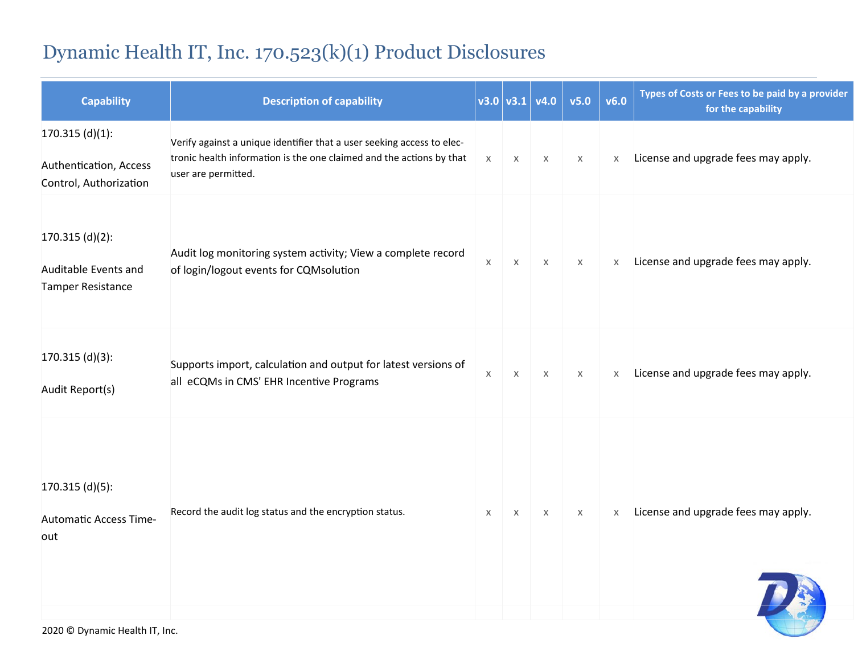| <b>Capability</b>                                                     | <b>Description of capability</b>                                                                                                                                      |          |                       | $\mathsf{v}3.0\  \mathsf{v}3.1\  \mathsf{v}4.0\  $ | v5.0     | v6.0     | Types of Costs or Fees to be paid by a provider<br>for the capability |
|-----------------------------------------------------------------------|-----------------------------------------------------------------------------------------------------------------------------------------------------------------------|----------|-----------------------|----------------------------------------------------|----------|----------|-----------------------------------------------------------------------|
| $170.315$ (d)(1):<br>Authentication, Access<br>Control, Authorization | Verify against a unique identifier that a user seeking access to elec-<br>tronic health information is the one claimed and the actions by that<br>user are permitted. | $\times$ | $\boldsymbol{\times}$ | $\times$                                           | $\times$ | $\times$ | License and upgrade fees may apply.                                   |
| $170.315$ (d)(2):<br>Auditable Events and<br><b>Tamper Resistance</b> | Audit log monitoring system activity; View a complete record<br>of login/logout events for CQMsolution                                                                | $\times$ | X                     | $\times$                                           | $\times$ | $\times$ | License and upgrade fees may apply.                                   |
| $170.315$ (d)(3):<br>Audit Report(s)                                  | Supports import, calculation and output for latest versions of<br>all eCQMs in CMS' EHR Incentive Programs                                                            | $\chi$   | $\times$              | $\times$                                           | $\times$ | X        | License and upgrade fees may apply.                                   |
| $170.315$ (d)(5):<br><b>Automatic Access Time-</b><br>out             | Record the audit log status and the encryption status.                                                                                                                | $\times$ | X                     | $\times$                                           | $\times$ | $\times$ | License and upgrade fees may apply.                                   |